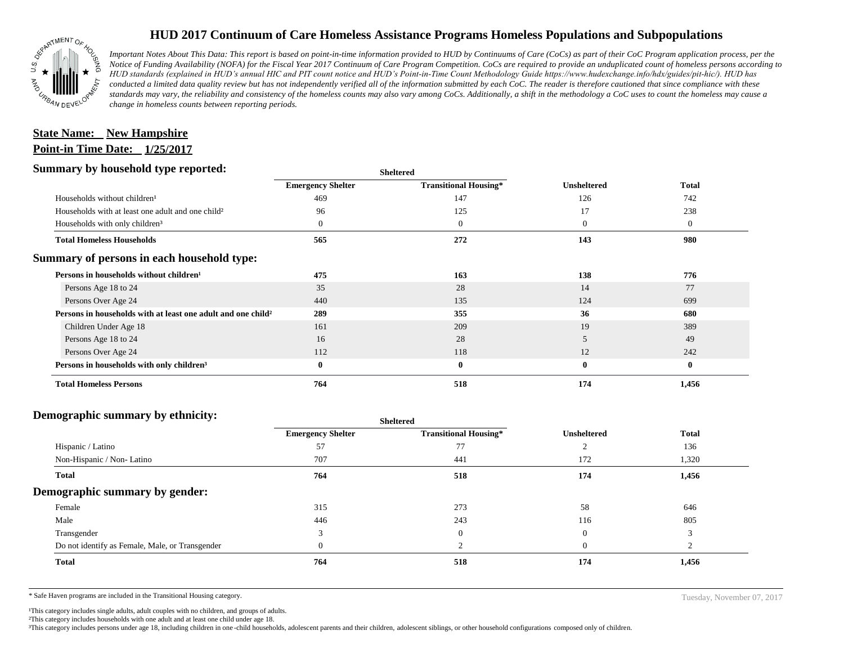

## **HUD 2017 Continuum of Care Homeless Assistance Programs Homeless Populations and Subpopulations**

*Important Notes About This Data: This report is based on point-in-time information provided to HUD by Continuums of Care (CoCs) as part of their CoC Program application process, per the Notice of Funding Availability (NOFA) for the Fiscal Year 2017 Continuum of Care Program Competition. CoCs are required to provide an unduplicated count of homeless persons according to HUD standards (explained in HUD's annual HIC and PIT count notice and HUD's Point-in-Time Count Methodology Guide https://www.hudexchange.info/hdx/guides/pit-hic/). HUD has conducted a limited data quality review but has not independently verified all of the information submitted by each CoC. The reader is therefore cautioned that since compliance with these*  standards may vary, the reliability and consistency of the homeless counts may also vary among CoCs. Additionally, a shift in the methodology a CoC uses to count the homeless may cause a *change in homeless counts between reporting periods.*

## **Point-in Time Date: 1/25/2017 State Name:** New Hampshire

#### **Summary by household type reported:**

| эшппагу бу поизепою туре герогіесі:                                      | <b>Sheltered</b>         |                              |                    |              |
|--------------------------------------------------------------------------|--------------------------|------------------------------|--------------------|--------------|
|                                                                          | <b>Emergency Shelter</b> | <b>Transitional Housing*</b> | <b>Unsheltered</b> | <b>Total</b> |
| Households without children <sup>1</sup>                                 | 469                      | 147                          | 126                | 742          |
| Households with at least one adult and one child?                        | 96                       | 125                          | 17                 | 238          |
| Households with only children <sup>3</sup>                               | $\overline{0}$           | $\mathbf{0}$                 | $\mathbf{0}$       | $\mathbf{0}$ |
| <b>Total Homeless Households</b>                                         | 565                      | 272                          | 143                | 980          |
| Summary of persons in each household type:                               |                          |                              |                    |              |
| Persons in households without children <sup>1</sup>                      | 475                      | 163                          | 138                | 776          |
| Persons Age 18 to 24                                                     | 35                       | 28                           | 14                 | 77           |
| Persons Over Age 24                                                      | 440                      | 135                          | 124                | 699          |
| Persons in households with at least one adult and one child <sup>2</sup> | 289                      | 355                          | 36                 | 680          |
| Children Under Age 18                                                    | 161                      | 209                          | 19                 | 389          |
| Persons Age 18 to 24                                                     | 16                       | 28                           | 5                  | 49           |
| Persons Over Age 24                                                      | 112                      | 118                          | 12                 | 242          |
| Persons in households with only children <sup>3</sup>                    | $\bf{0}$                 | $\bf{0}$                     | $\bf{0}$           | $\bf{0}$     |
| <b>Total Homeless Persons</b>                                            | 764                      | 518                          | 174                | 1,456        |

### **Demographic summary by ethnicity:**

| ັ<br>. .<br>$\bullet$<br>. .<br>$\bullet$       |                          | Sheltered                    | <b>Unsheltered</b> | <b>Total</b> |
|-------------------------------------------------|--------------------------|------------------------------|--------------------|--------------|
|                                                 | <b>Emergency Shelter</b> | <b>Transitional Housing*</b> |                    |              |
| Hispanic / Latino                               | 57                       | 77                           |                    | 136          |
| Non-Hispanic / Non-Latino                       | 707                      | 441                          | 172                | 1,320        |
| <b>Total</b>                                    | 764                      | 518                          | 174                | 1,456        |
| Demographic summary by gender:                  |                          |                              |                    |              |
| Female                                          | 315                      | 273                          | 58                 | 646          |
| Male                                            | 446                      | 243                          | 116                | 805          |
| Transgender                                     |                          | $\theta$                     |                    |              |
| Do not identify as Female, Male, or Transgender | $\Omega$                 |                              | $\Omega$           |              |
| Total                                           | 764                      | 518                          | 174                | 1,456        |
|                                                 |                          |                              |                    |              |

**Sheltered**

\* Safe Haven programs are included in the Transitional Housing category.

<sup>1</sup>This category includes single adults, adult couples with no children, and groups of adults. ²This category includes households with one adult and at least one child under age 18.

³This category includes persons under age 18, including children in one -child households, adolescent parents and their children, adolescent siblings, or other household configurations composed only of children.

Tuesday, November 07, 2017